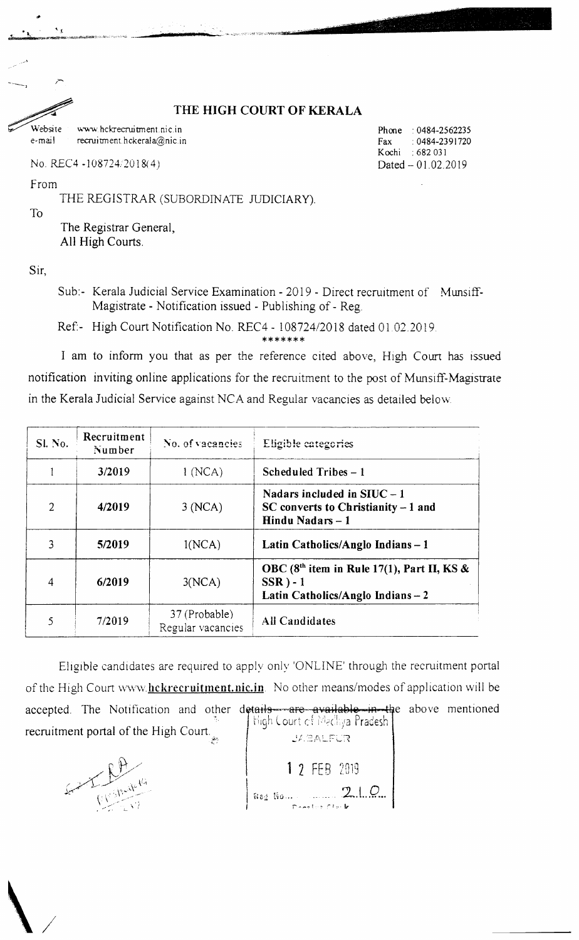#### THE HIGH COURT OF KERALA

Website www.hekreeruitment.nic.in e-mail recruitment.hckerala@nic.in

No. REC4 -108724/2018(4)

From

 $\mathbf{A}$ 

THE REGISTRAR (SUBORDINATE JUDICIARY).

**To** 

The Registrar General, All High Courts.

Sir.

Sub:- Kerala Judicial Service Examination - 2019 - Direct recruitment of Munsiff-Magistrate - Notification issued - Publishing of - Reg.

Ref:- High Court Notification No. REC4 - 108724/2018 dated 01.02.2019.

\*\*\*\*\*\*\*

I am to inform you that as per the reference cited above, High Court has issued notification inviting online applications for the recruitment to the post of Munsiff-Magistrate in the Kerala Judicial Service against NCA and Regular vacancies as detailed below.

| Sl. No.        | Recruitment<br>Number | No. of vacancies                   | Eligible categories                                                                               |
|----------------|-----------------------|------------------------------------|---------------------------------------------------------------------------------------------------|
|                | 3/2019                | 1(NCA)                             | Scheduled Tribes - 1                                                                              |
| $\overline{2}$ | 4/2019                | 3(NCA)                             | Nadars included in $STUC - 1$<br>$SC$ converts to Christianity $-1$ and<br>Hindu Nadars - 1       |
|                | 5/2019                | 1(NCA)                             | Latin Catholics/Anglo Indians-1                                                                   |
| 4              | 6/2019                | 3(NCA)                             | OBC $(8th$ item in Rule 17(1), Part II, KS &<br>$SSR$ ) - 1<br>Latin Catholics/Anglo Indians $-2$ |
|                | 7/2019                | 37 (Probable)<br>Regular vacancies | <b>All Candidates</b>                                                                             |

Eligible candidates are required to apply only 'ONLINE' through the recruitment portal of the High Court www.hckrecruitment.nic.in. No other means/modes of application will be accepted. The Notification and other details are available in the above mentioned High Court of Madhya Pradesh recruitment portal of the High Court. **JABALFUR** 



1 2 FEB 2019 Reg No... 21.C

Phone: 0484-2562235 0484-2391720 Fax Kochi : 682 031 Dated - 01.02.2019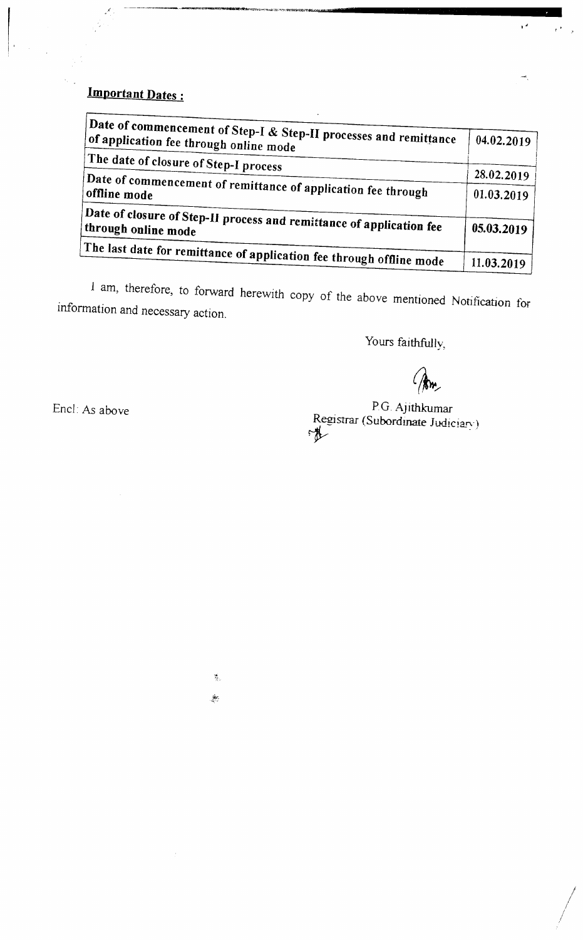## **Important Dates:**

| Date of commencement of Step-I $\&$ Step-II processes and remittance<br>of application fee through online mode | 04.02.2019               |
|----------------------------------------------------------------------------------------------------------------|--------------------------|
| The date of closure of Step-I process                                                                          |                          |
| $_\mathrm{i}$ Date of commencement of remittance of application fee through<br>offline mode                    | 28.02.2019<br>01.03.2019 |
|                                                                                                                |                          |
| Date of closure of Step-II process and remittance of application fee<br>through online mode                    | 05.03.2019               |
| The last date for remittance of application fee through offline mode                                           | 11.03.2019               |

I am, therefore, to forward herewith copy of the above mentioned Notification for information and necessary action.

Yours faithfully,

y a

#### P.G. Ajithkumar Registrar (Subordinate Judiciary) rth

Encl: As above

篡。  $\frac{\partial \mathcal{L}}{\partial \mathcal{L}}$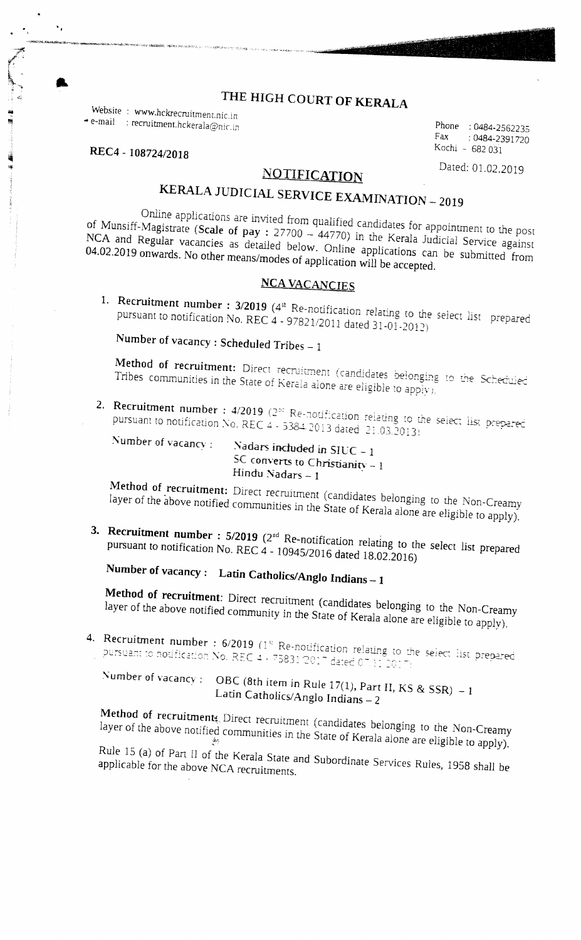## THE HIGH COURT OF KERALA

Website: www.hckrecruitment.nic.in  $\triangleq$  e-mail : recruitment.hckerala@nic.in

REC4 - 108724/2018

 $\ddot{\phantom{a}}$ 

### **NOTIFICATION**

KERALA JUDICIAL SERVICE EXAMINATION - 2019

Online applications are invited from qualified candidates for appointment to the post of Munsiff-Magistrate (Scale of pay : 27700 - 44770) in the Kerala Judicial Service against NCA and Regular vacancies as detailed below. Online applications can be submitted from 04.02.2019 onwards. No other means/modes of application will be accepted.

#### **NCA VACANCIES**

1. Recruitment number : 3/2019 (4<sup>th</sup> Re-notification relating to the select list prepared pursuant to notification No. REC  $4 - 97821/2011$  dated 31-01-2012)

Number of vacancy: Scheduled Tribes  $-1$ 

Method of recruitment: Direct recruitment (candidates belonging to the Scheduled Tribes communities in the State of Kerala alone are eligible to apply).

2. Recruitment number : 4/2019 (2<sup>30</sup> Re-notification relating to the select list prepared pursuant to notification No. REC  $4 - 53842013$  dated  $21.032013$ 

Number of vacancy:

Nadars included in SIUC  $-1$ SC converts to Christianity  $-1$ Hindu Nadars  $-1$ 

Method of recruitment: Direct recruitment (candidates belonging to the Non-Creamy layer of the above notified communities in the State of Kerala alone are eligible to apply).

3. Recruitment number :  $5/2019$  ( $2<sup>nd</sup>$  Re-notification relating to the select list prepared pursuant to notification No. REC 4 - 10945/2016 dated 18.02.2016)

Number of vacancy: Latin Catholics/Anglo Indians - 1

Method of recruitment: Direct recruitment (candidates belonging to the Non-Creamy layer of the above notified community in the State of Kerala alone are eligible to apply).

4. Recruitment number : 6/2019 (1<sup>st</sup> Re-notification relating to the select list prepared pursuant to notification No. REC 4 - 75831/2017 dated 07.11 2011

Number of vacancy: OBC (8th item in Rule 17(1), Part II, KS & SSR)  $-1$ Latin Catholics/Anglo Indians - 2

Method of recruitments. Direct recruitment (candidates belonging to the Non-Creamy layer of the above notified communities in the State of Kerala alone are eligible to apply).

Rule 15 (a) of Part II of the Kerala State and Subordinate Services Rules, 1958 shall be applicable for the above NCA recruitments.

Phone: 0484-2562235 Fax: : 0484-2391720 Kochi - 682 031

Dated: 01.02.2019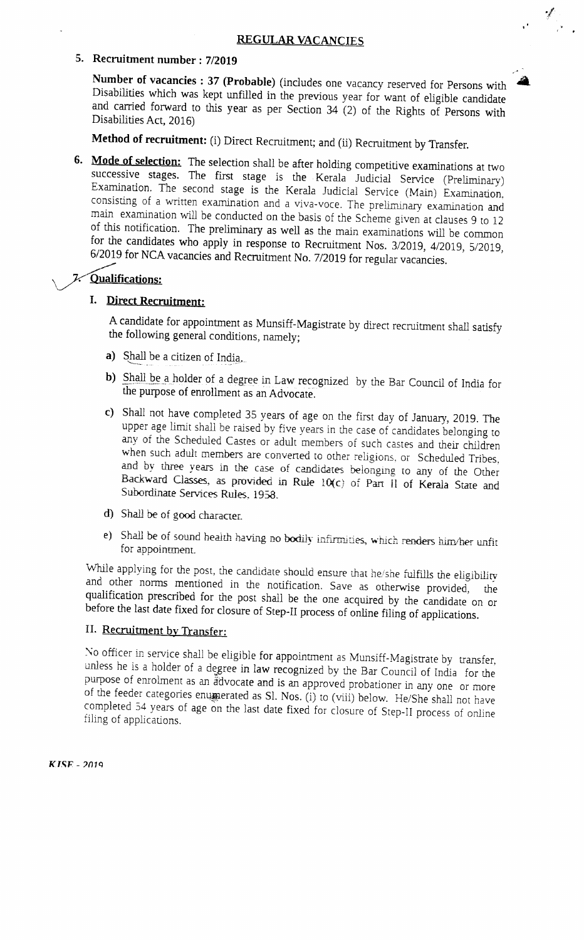•,/

#### 5. Recruitment number : 7/2019

Number of vacancies : 37 (Probable) (includes one vacancy reserved for Persons with Disabilities which was kept unfilled in the previous year for want of eligible candidate and carried forward to this year as per Section  $34(2)$  of the Rights of Persons with Disabilities Act, 2016)

Method of recruitment: (i) Direct Recruitment; and (ii) Recruitment by Transfer.

6. Mode of selection: The selection shall be after holding competitive examinations at two successive stages. The first stage is the Kerala Judicial Service (Preliminary) Examination. The second stage is the Kerala Judicial Service (Main) Examination. consisting of a written examination and a viva-voce. The preliminary examination and main examination will be conducted on the basis of the Scheme given at clauses 9 to 12 of this notification. The preliminary as well as the main examinations will be common for the candidates who apply in response to Recruitment Nos. 3/2019, 4/2019, 5/2019, 6/2019 for NCA vacancies and Recruitment No. 7/2019 for regular vacancies. "

#### 7 Qualifications:

#### I. Direct Recruitment:

A candidate for appointment as Munsiff-Magistrate by direct recruitment shall satisfy the following general conditions, namely;

- a) Shall be a citizen of India.
- b) Shall be a holder of a degree in Law recognized by the Bar Council of India for the purpose of enrollment as an Advocate.
- c) Shall not have completed 35 years of age on the first day of January, 2019. The upper age limit shall be raised by five years in the case of candidates belonging to any of the Scheduled Castes or adult members of such castes and their children when such adult members are converted to other religions, or Scheduled Tribes, and by three years in the case of candidates belonging to any of the Other Backward Classes, as provided in Rule 10(c) of Part II of Kerala State and Subordinate Services Rules. 195S.
- d) Shall be of good character.
- e) Shall be of sound health having no bodily infirmities, which renders him/her unfit for appointment.

While applying for the post, the candidate should ensure that he/she fulfills the eligibility and other norms mentioned in the notification. Save as otherwise provided, the qualification prescribed for the post shall be the one acquired by the candidate on or before the last date fixed for closure of Step-II process of online filing of applications.

#### II. Recruitment by Transfer:

 $\pm$  officer in service shall be eligible for appointment as Munsiff-Magistrate by transfer,  $\pm$  $\frac{d}{dt}$  holder of a holder of a deugree in appointment as  $\dot{y}$  with  $\dot{y}$  and  $\dot{y}$  the is a holder of the Bar Council of  $\dot{y}$ unless he is a holder of a degree in law recognized by the Bar Council of India for the purpose of enrolment as an advocate and is an approved probationer in any one or more of the feeder categories enumerated as Sl. Nos. (i) to (viii) below. He/She shall not have completed 54 years of age on the last date fixed for closure of Step-II process of online filing of applications.

 $KISE - 2019$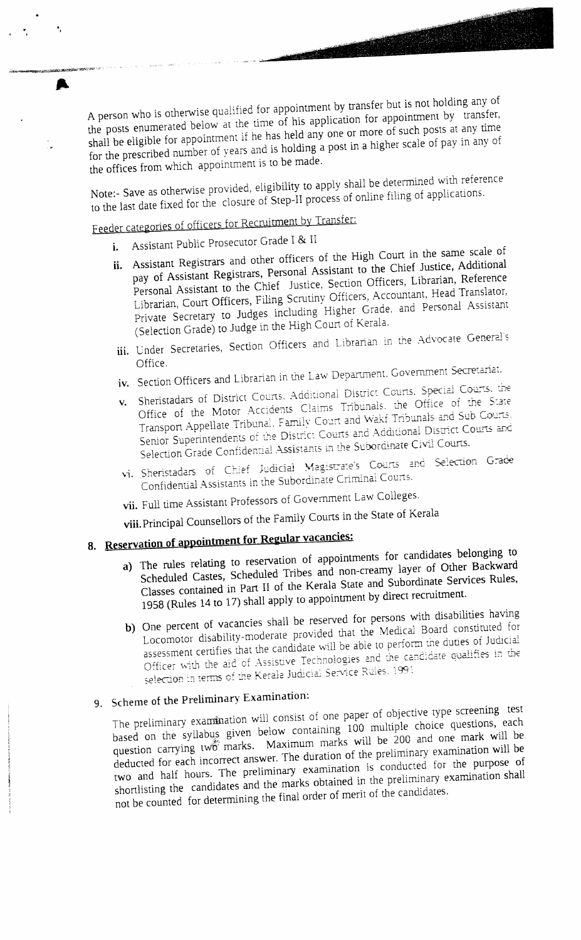A person who is otherwise qualified for appointment by transfer but is not holding any of the posts enumerated below at the time of his application for appointment by transfer, shall be eligible for appointment if he has held any one or more of such posts at any time for the prescribed number of years and is holding a post in a higher scale of pay in any of the offices from which appointment is to be made.

Note:- Save as otherwise provided, eligibility to apply shall be determined with reference to the last date fixed for the closure of Step-II process of online filing of applications.

Feeder categories of officers for Recruitment by Transfer:

Assistant Public Prosecutor Grade I & II  $\mathbf{i}$ 

A

- ii. Assistant Registrars and other officers of the High Court in the same scale of pay of Assistant Registrars, Personal Assistant to the Chief Justice, Additional Personal Assistant to the Chief Justice, Section Officers, Librarian, Reference Librarian, Court Officers, Filing Scrutiny Officers, Accountant, Head Translator, Private Secretary to Judges including Higher Grade, and Personal Assistant (Selection Grade) to Judge in the High Court of Kerala.
- iii. Under Secretaries, Section Officers and Librarian in the Advocate General's Office.
- iv. Section Officers and Librarian in the Law Department. Government Secretariat.
- v. Sheristadars of District Courts. Additional District Courts. Special Courts. the Office of the Motor Accidents Claims Tribunals, the Office of the State Transport Appellate Tribunal. Family Court and Wakf Tribunals and Sub Courts. Senior Superintendents of the District Courts and Additional District Courts and Selection Grade Confidential Assistants in the Subordinate Civil Courts.
- vi. Sheristadars of Chief Judicial Magistrate's Courts and Selection Grade Confidential Assistants in the Subordinate Criminal Courts.
- vii. Full time Assistant Professors of Government Law Colleges.

viii. Principal Counsellors of the Family Courts in the State of Kerala

# 8. Reservation of appointment for Regular vacancies:

- a) The rules relating to reservation of appointments for candidates belonging to Scheduled Castes, Scheduled Tribes and non-creamy layer of Other Backward Classes contained in Part II of the Kerala State and Subordinate Services Rules, 1958 (Rules 14 to 17) shall apply to appointment by direct recruitment.
- b) One percent of vacancies shall be reserved for persons with disabilities having Locomotor disability-moderate provided that the Medical Board constituted for assessment certifies that the candidate will be able to perform the duties of Judicial Officer with the aid of Assistive Technologies and the candidate qualifies in the selection in terms of the Kerala Judicial Service Rules. 1991

## 9. Scheme of the Preliminary Examination:

The preliminary examination will consist of one paper of objective type screening test based on the syllabus given below containing 100 multiple choice questions, each question carrying two marks. Maximum marks will be 200 and one mark will be deducted for each incorrect answer. The duration of the preliminary examination will be two and half hours. The preliminary examination is conducted for the purpose of shortlisting the candidates and the marks obtained in the preliminary examination shall not be counted for determining the final order of merit of the candidates.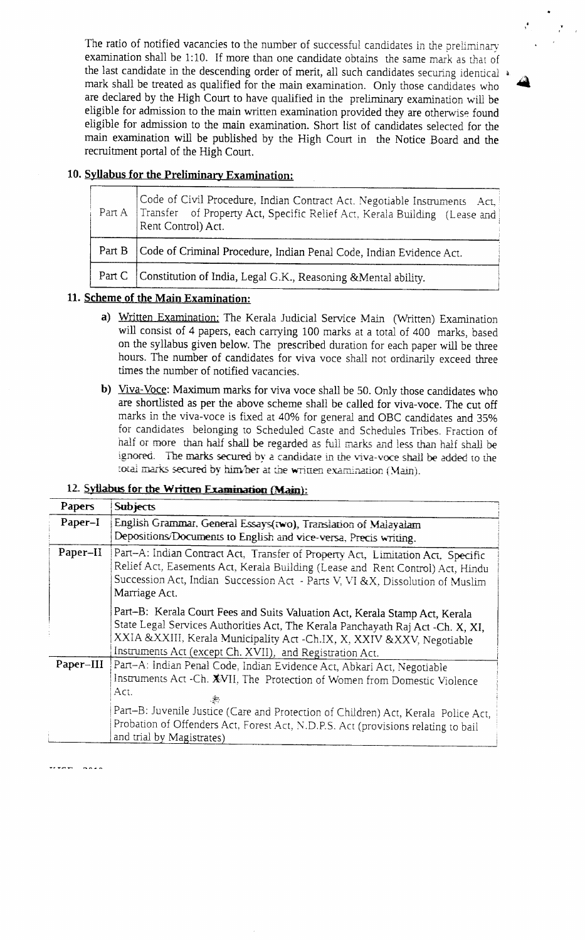The ratio of notified vacancies to the number of successful candidates in the preliminary examination shall be 1:10. If more than one candidate obtains the same mark as that of the last candidate in the descending order of merit, all such candidates securing identical  $*$ mark shall be treated as qualified for the main examination. Only those candidates who are declared by the High Court to have qualified in the preliminary examination will be eligible for admission to the main written examination provided they are otherwise found eligible for admission to the main examination. Short list of candidates selected for the main examination will be published by the High Court in the Notice Board and the recruitment portal of the High Court.

j&

#### 10. Svllabus for the Prelininarv Examination:

| Code of Civil Procedure, Indian Contract Act. Negotiable Instruments Act.  <br>Part A   Transfer of Property Act, Specific Relief Act, Kerala Building (Lease and)<br>Rent Control) Act. |  |
|------------------------------------------------------------------------------------------------------------------------------------------------------------------------------------------|--|
| Part B   Code of Criminal Procedure, Indian Penal Code, Indian Evidence Act.                                                                                                             |  |
| Part C   Constitution of India, Legal G.K., Reasoning & Mental ability.                                                                                                                  |  |

#### 11. Scheme of the Main Examination:

- a) Written Examination: The Kerala Judicial Service Main (Written) Examination will consist of 4 papers, each carrying 100 marks at a total of 400 marks, based on the syllabus given below. The prescribed duration for each paper will be three hours. The number of candidates for viva voce shall not ordinarily exceed three times the number of notified vacancies.
- b) Viva-Voce: Maximum marks for viva voce shall be 50. Only those candidates who are shortlisted as per the above scheme shall be called for viva-voce. The cut off marks in the viva-voce is fixed at 40% for general and OBC candidates and 35% for candidates belonging to Scheduled Caste and Schedules Tribes. Fraction of half or more than half shall be regarded as full marks and less than half shall be ignored. The marks secured by a candidate in the viva-voce shall be added to the total marks secured by him/her at the written examination (Main).

#### 12. Syllabus for the Written Examination (Main):

| Papers    | <b>Subjects</b>                                                                                                                                                                                                                                                                                                                                                     |
|-----------|---------------------------------------------------------------------------------------------------------------------------------------------------------------------------------------------------------------------------------------------------------------------------------------------------------------------------------------------------------------------|
| Paper-I   | English Grammar, General Essays(two), Translation of Malayalam<br>Depositions/Documents to English and vice-versa, Precis writing.                                                                                                                                                                                                                                  |
| Paper-II  | Part-A: Indian Contract Act, Transfer of Property Act, Limitation Act, Specific<br>Relief Act, Easements Act, Kerala Building (Lease and Rent Control) Act, Hindu<br>Succession Act, Indian Succession Act - Parts V, VI &X, Dissolution of Muslim<br>Marriage Act.                                                                                                 |
|           | Part-B: Kerala Court Fees and Suits Valuation Act, Kerala Stamp Act, Kerala<br>State Legal Services Authorities Act, The Kerala Panchayath Raj Act -Ch. X, XI,<br>XXIA &XXIII, Kerala Municipality Act -Ch.IX, X, XXIV &XXV, Negotiable<br>Instruments Act (except Ch. XVII), and Registration Act.                                                                 |
| Paper-III | Part-A: Indian Penal Code, Indian Evidence Act, Abkari Act, Negotiable<br>Instruments Act -Ch. XVII, The Protection of Women from Domestic Violence<br>Act.<br>Part-B: Juvenile Justice (Care and Protection of Children) Act, Kerala Police Act,<br>Probation of Offenders Act, Forest Act, N.D.P.S. Act (provisions relating to bail<br>and trial by Magistrates) |

 $.........$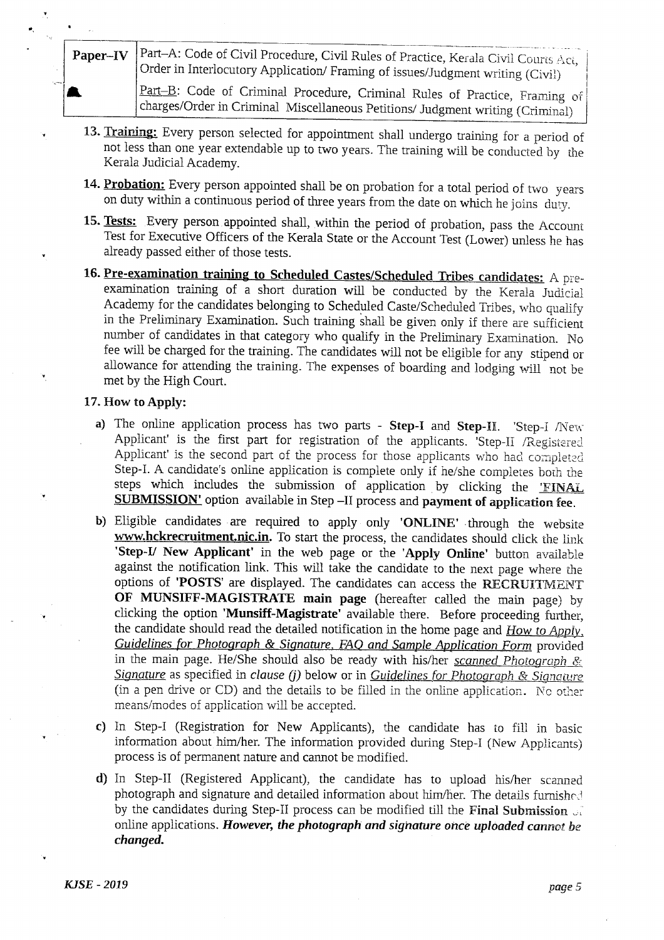Part-A: Code of Civil Procedure, Civil Rules of Practice, Kerala Civil Courts Act, Paper-IV Order in Interlocutory Application/ Framing of issues/Judgment writing (Civil)

Part-B: Code of Criminal Procedure, Criminal Rules of Practice, Framing of charges/Order in Criminal Miscellaneous Petitions/ Judgment writing (Criminal)

- 13. Training: Every person selected for appointment shall undergo training for a period of not less than one year extendable up to two years. The training will be conducted by the Kerala Judicial Academy.
- 14. Probation: Every person appointed shall be on probation for a total period of two years on duty within a continuous period of three years from the date on which he joins duty.
- 15. Tests: Every person appointed shall, within the period of probation, pass the Account Test for Executive Officers of the Kerala State or the Account Test (Lower) unless he has already passed either of those tests.
- 16. Pre-examination training to Scheduled Castes/Scheduled Tribes candidates: A preexamination training of a short duration will be conducted by the Kerala Judicial Academy for the candidates belonging to Scheduled Caste/Scheduled Tribes, who qualify in the Preliminary Examination. Such training shall be given only if there are sufficient number of candidates in that category who qualify in the Preliminary Examination. No fee will be charged for the training. The candidates will not be eligible for any stipend or allowance for attending the training. The expenses of boarding and lodging will not be met by the High Court.

#### 17. How to Apply:

- a) The online application process has two parts Step-I and Step-II. 'Step-I /New Applicant' is the first part for registration of the applicants. 'Step-II /Registered Applicant' is the second part of the process for those applicants who had completed Step-I. A candidate's online application is complete only if he/she completes both the steps which includes the submission of application by clicking the 'FINAL SUBMISSION' option available in Step -II process and payment of application fee.
- b) Eligible candidates are required to apply only 'ONLINE' .through the website www.hckrecruitment.nic.in. To start the process, the candidates should click the link 'Step-I/ New Applicant' in the web page or the 'Apply Online' button available against the notification link. This will take the candidate to the next page where the options of 'POSTS' are displayed. The candidates can access the RECRUITMENT 0F MUNSIFF-MAGISTRATE main page (hereafter called the main page) by clicking the option 'Munsiff-Magistrate' available there. Before proceeding further, the candidate should read the detailed notification in the home page and  $How to Apply$ . Guidelines for Photograph & Signature. FAO and Sample Application Form provided in the main page. He/She should also be ready with his/her scanned Photograph  $g_{\zeta}$ Signature as specified in clause (j) below or in Guidelines for Photograph & Signature (in a pen drive or CD) and the details to be filled in the online application. No other means/modes of application will be accepted.
- c) In Step-I (Registration for New Applicants), the candidate has to fill in basic information about him/her. The information provided during Step-I (New Applicants) process is of permanent nature and cannot be modified.
- d) In Step-II (Registered Applicant), the candidate has to upload his/her scanned photograph and signature and detailed information about him/her. The details furnished by the candidates during Step-II process can be modified till the Final Submission  $\mathbb{R}^2$ online applications. However, the photograph and signature once uploaded cannot be changed.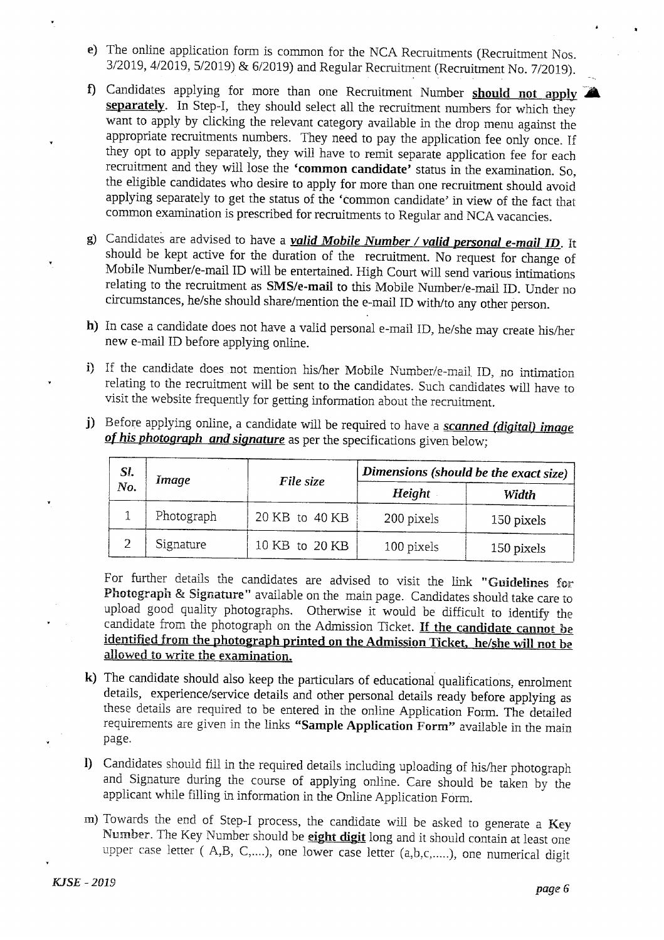- e) The online application form is common for the NCA Recruitments (Recruitment Nos. 3/2019, 4/2019, 5/2019) & 6/2019) and Regular Recruitment (Recruitment No. 7/2019).
- f) Candidates applying for more than one Recruitment Number should not apply  $\blacktriangledown$ separately. In Step-I, they should select all the recruitment numbers for which they want to apply by clicking the relevant category available in the drop menu against the appropriate recruitments numbers. They need to pay the application fee only once. If they opt to apply separately, they will have to remit separate application fee for each recruitment and they will lose the 'common candidate' status in the examination. So, the eligible candidates who desire to apply for more than one recruitment should avoid applying separately to get the status of the 'common candidate' in view of the fact that common examination is prescribed for recruitments to Regular and NCA vacancies.
- g) Candidates are advised to have a *valid Mobile Number / valid personal e-mail ID*. It should be kept active for the duration of the recruitment. No request for change of Mobile Number/e-mail ID will be entertained. High Court will send various intimations relating to the recruitment as SMS/e-mail to this Mobile Number/e-mail ID. Under no circumstances, he/she should share/mention the e-mail ID with/to any other person.
- h) In case a candidate does not have a valid personal e-mail ID, he/she may create his/her new e-mail ID before applying online.
- i) If the candidate does not mention his/her Mobile Number/e-mail ID, no intimation relating to the recruitment will be sent to the candidates. Such candidates will have to visit the website frequently for getting information about the recruitment.

| SI.<br>No. | Image      | File size      | Dimensions (should be the exact size) |            |
|------------|------------|----------------|---------------------------------------|------------|
|            |            |                | Height                                | Width      |
|            | Photograph | 20 KB to 40 KB | 200 pixels                            | 150 pixels |
|            | Signature  | 10 KB to 20 KB | 100 pixels                            | 150 pixels |

j) Before applying online, a candidate will be required to have a scanned (digital) image of his photograph and signature as per the specifications given below;

For further details the candidates are advised to visit the link "Guidelines for Photograph & Signature" available on the main page. Candidates should take care to upload good quality photographs. Otherwise it would be difficult to identify the candidate from the photograph on the Admission Ticket. If the candidate cannot be identified from the photograph printed on the Admission Ticket, he/she will not be allowed to write the examination.

- k) The candidate should also keep the particulars of educational qualifications, eurolment details, experience/service details and other personal details ready before applying as these details are required to be entered in the online Application Form. The detailed requirements are given in the links "Sample Application Form" available in the main page.
- I) Candidates should fill in the required details including uploading of his/her photograph and Signature during the course of applying online. Care should be taken by the applicant while filling in information in the Online Application Form.
- m) Towards the end of Step-I process, the candidate will be asked to generate a Key Number. The Key Number should be eight digit long and it should contain at least one upper case letter (A,B, C,....), one lower case letter (a,b,c,.....), one numerical digit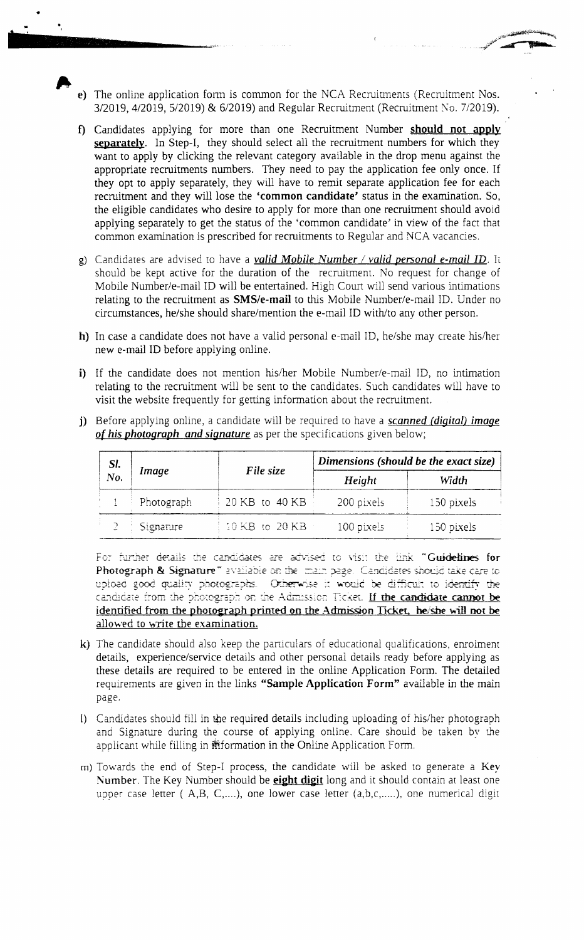e) The online application form is common for the NCA Recruitments (Recruitment Nos. 3/2019, 4/2019, 5/2019) & 6/2019) and Regular Recruitment (Recruitment No. 7/2019).

rfgiv-§stJ:ifefeprdtwwetry+\_

A

- f) Candidates applying for more than one Recruitment Number should not apply separately. In Step-I, they should select all the recruitment numbers for which they want to apply by clicking the relevant category available in the drop menu against the appropriate recruitments numbers. They need to pay the application fee only once. If they opt to apply separately, they will have to remit separate application fee for each recruitment and they will lose the 'common candidate' status in the examination. So, the eligible candidates who desire to apply for more than one recruitment should avoid applying separately to get the status of the `common candidate' in view of the fact that common examination is prescribed for recruitments to Regular and NCA vacancies.
- g) Candidates are advised to have a valid Mobile Number / valid personal e-mail ID. It should be kept active for the duration of the recruitment. No request for change of Mobile Number/e-mail ID will be entertained. High Court will send various intimations relating to the recruitment as SMS/e-mail to this Mobile Number/e-mail ID. Under no circumstances, he/she should share/mention the e-mail ID with/to any other person.
- h) In case a candidate does not have a valid personal e-mail ID, he/she may create his/her new e-mail ID before applying online.
- i) If the candidate does not mention his/her Mobile Number/e-mail ID, no intimation relating to the recruitment will be sent to the candidates. Such candidates will have to visit the website frequently for getting information about the recruitment.
- j) Before applying online, a candidate will be required to have a *scanned (digital) image* of his photograph and signature as per the specifications given below;

| SI. | Image      | File size      | Dimensions (should be the exact size) |            |
|-----|------------|----------------|---------------------------------------|------------|
| No. |            |                | Height                                | Width      |
|     | Photograph | 20 KB to 40 KB | 200 pixels                            | 150 pixels |
|     | Signature  | 10 KB to 20 KB | 100 pixels                            | 150 pixels |

For further details the candidates are advised to visit the link "Guidelines for Photograph & Signature" available on the main page. Candidates should take care to upload good quality photographs. Otherwise it would be difficult to identify the candidate from the photograph on the Admission Ticket. If the candidate cannot be identified from the photograph printed on the Admission Ticket. he/she will not be allowed to write the examination.

- $k$ ) The candidate should also keep the particulars of educational qualifications, enrolment details, experience/service details and other personal details ready before applying as these details are required to be entered in the online Application Form. The detailed requirements are given in the links "Sample Application Form" available in the main Page.
- I) Candidates should fill in the required details including uploading of his/her photograph and Signature during the course of applying online. Care should be taken by the applicant while filling in ffiformation in the Online Application Fom.
- rn) Towards the end of Step-I process, the candidate will be asked to generate a Key- Number. The Key Number should be **eight digit** long and it should contain at least one upper case letter ( $A,B, C,...$ ), one lower case letter ( $a,b,c,.....$ ), one numerical digit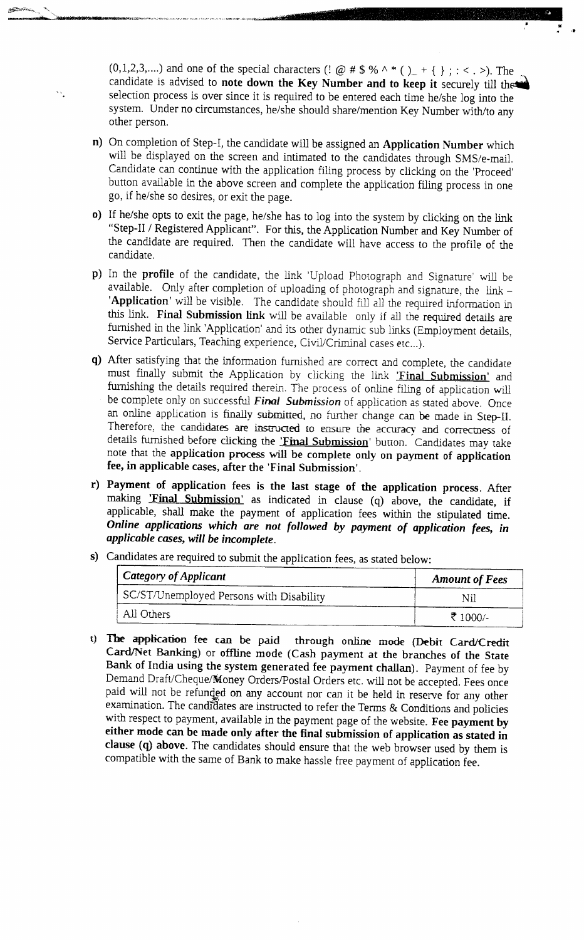(0,1,2,3,....) and one of the special characters (!  $@ # $ % ^* ( )_ + { } { }$ ; : < . >). The candidate is advised to note down the Key Number and to keep it securely till the selection process is over since it is required to be entered each time he/she log into the system. Under no circumstances, he/she should share/mention Key Number with/to any other person.

or<mark>es en la F9h 'en inte</mark>

- n) On completion of Step-I, the candidate will be assigned an Application Number which will be displayed on the screen and intimated to the candidates through SMS/e-mail. Candidate can continue with the application filing process by clicking on the 'Proceed' button available in the above screen and complete the application filing process in one go, if he/she so desires, or exit the page.
- o) If he/she opts to exit the page, he/she has to log into the system by clicking on the link "Step-II / Registered Applicant". For this, the Application Number and Key Number of the candidate are required. Then the candidate will have access to the profile of the candidate.
- p) In the profile of the candidate, the link 'Upload Photograph and Signature' will be available. Only after completion of uploading of photograph and signature, the  $link -$ 'Application' will be visible. The candidate should fill all the required information in this link. Final Submission link will be available only if all the required details are furnished in the link 'Application' and its other dynamic sub links (Employment details, Service Particulars, Teaching experience, Civil/Criminal cases etc...).
- q) After satisfying that the information furnished are correct and complete, the candidate must finally submit the Application by clicking the link 'Final Submission' and furnishing the details required therein. The process of online filing of application will be complete only on successful Final Submission of application as stated above. Once an online application is finally submitted, no further change can be made in Step-H. Therefore, the candidates are instructed to ensure the accuracy and correctness of details furnished before clicking the **'Final Submission'** button. Candidates may take note that the application process will be complete only on payment of application fee, in applicable cases, after the 'Final Submission'.
- r) Payment of application fees is the last stage of the application process. After making **Final Submission**' as indicated in clause (q) above, the candidate, if applicable, shall make the payment of application fees within the stipulated time. Online applications which are not followed by payment of application fees, in applicable cases, will be incomplete.

| <b>Category of Applicant</b>             | <b>Amount of Fees</b> |  |
|------------------------------------------|-----------------------|--|
| SC/ST/Unemployed Persons with Disability | Nil                   |  |
| All Others                               | ₹ 1000/-              |  |

- s) Candidates are required to submit the application fees, as stated below:
- t) The application fee can be paid through online mode (Debit Card/Credit Card/Net Banking) or offline mode (Cash payment at the branches of the State Bank of India using the system generated fee payment challan). Payment of fee by Demand Draft/Cheque/Money Orders/Postal Orders etc. will not be accepted. Fees once paid will not be refunded on any account nor can it be held in reserve for any other examination. The candidates are instructed to refer the Terms & Conditions and policies with respect to payment, available in the payment page of the website. Fee payment by either mode can be made only after the final submission of application as stated in clause (q) above. The candidates should ensure that the web browser used by them is compatible with the same of Bank to make hassle free payment of application fee.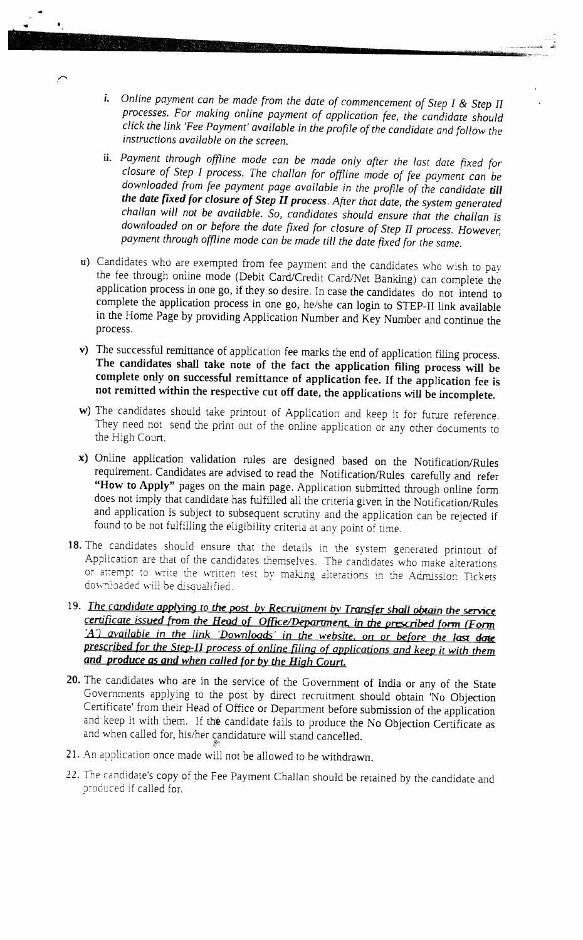- i. Online payment can be made from the date of commencement of Step I & Step II processes. For making online payment of application fee, the candidate should click the link 'Fee Payment' available in the profile of the candidate and follow the instructions available on the screen.
- ii. Payment through offline mode can be made only after the last date fixed for closure of Step I process. The challan for offline mode of fee payment can be downloaded from fee payment page available in the profile of the candidate till the date fixed for closure of Step II process. After that date, the system generated challan will not be available. So, candidates should ensure that the challan is downloaded on or before the date fixed for closure of Step II process. However, payment through offline mode can be made till the date fixed for the same.
- u) Candidates who are exempted from fee payment and the candidates who wish to pay the fee through online mode (Debit Card/Credit Card/Net Banking) can complete the application process in one go, if they so desire. In case the candidates do not intend to complete the application process in one go, he/she can login to STEP-II link available in the Home Page by providing Application Number and Key Number and continue the process.
- v) The successful remittance of application fee marks the end of application filing process. The candidates shall take note of the fact the application filing process will be complete only on successful remittance of application fee. If the application fee is not remitted within the respective cut off date, the applications will be incomplete.
- w) The candidates should take printout of Application and keep it for future reference. They need not send the print out of the online application or any other documents to the High Court.
- x) Online application validation rules are designed based on the Notification/Rules requirement. Candidates are advised to read the Notification/Rules carefully and refer "How to Apply" pages on the main page. Application submitted through online form does not imply that candidate has fulfilled all the criteria given in the Notification/Rules and application is subject to subsequent scrutiny and the application can be rejected if found to be not fulfilling the eligibility criteria at any point of time.
- 18. The candidates should ensure that the details in the system generated printout of Application are that of the candidates themselves. The candidates who make alterations or attempt to write the written test by making alterations in the Admission Tickets downloaded will be disqualified.
- 19. The candidate applying to the post by Recruitment by Transfer shall obtain the service certificate issued from the Head of Office/Department, in the prescribed form (Form A) available in the link 'Downloads' in the website, on or before the last date prescribed for the Step-II process of online filing of applications and keep it with them and produce as and when called for by the High Court.
- 20. The candidates who are in the service of the Government of India or any of the State Governments applying to the post by direct recruitment should obtain 'No Objection Certificate' from their Head of Office or Department before submission of the application and keep it with them. If the candidate fails to produce the No Objection Certificate as and when called for, his/her candidature will stand cancelled.
- 21. An application once made will not be allowed to be withdrawn.
- 22. The candidate's copy of the Fee Payment Challan should be retained by the candidate and produced if called for.